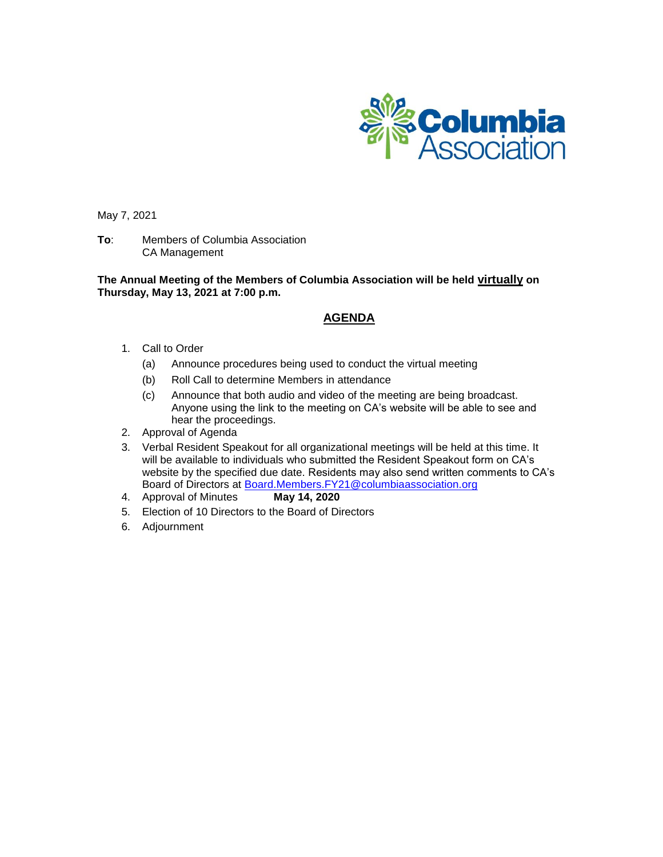

May 7, 2021

**To**: Members of Columbia Association CA Management

**The Annual Meeting of the Members of Columbia Association will be held virtually on Thursday, May 13, 2021 at 7:00 p.m.**

### **AGENDA**

- 1. Call to Order
	- (a) Announce procedures being used to conduct the virtual meeting
	- (b) Roll Call to determine Members in attendance
	- (c) Announce that both audio and video of the meeting are being broadcast. Anyone using the link to the meeting on CA's website will be able to see and hear the proceedings.
- 2. Approval of Agenda
- 3. Verbal Resident Speakout for all organizational meetings will be held at this time. It will be available to individuals who submitted the Resident Speakout form on CA's website by the specified due date. Residents may also send written comments to CA's Board of Directors at **Board.Members.FY21@columbiaassociation.org**<br>Approval of Minutes **May 14, 2020**
- 4. Approval of Minutes
- 5. Election of 10 Directors to the Board of Directors
- 6. Adjournment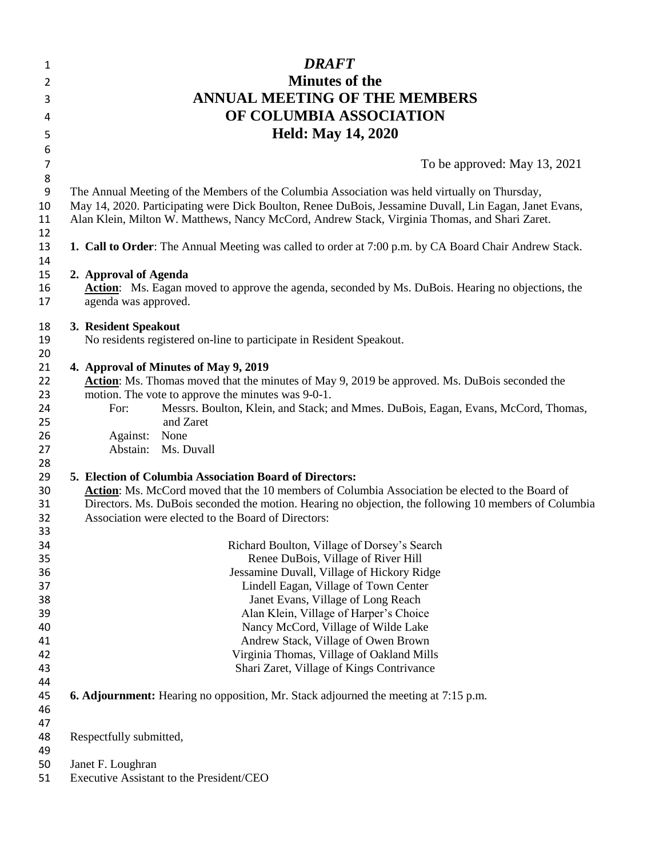| 1                   | <b>DRAFT</b>                                                                                                 |
|---------------------|--------------------------------------------------------------------------------------------------------------|
| $\overline{2}$      | <b>Minutes of the</b>                                                                                        |
| 3                   | <b>ANNUAL MEETING OF THE MEMBERS</b>                                                                         |
| 4                   | OF COLUMBIA ASSOCIATION                                                                                      |
|                     |                                                                                                              |
| 5                   | <b>Held: May 14, 2020</b>                                                                                    |
| 6                   |                                                                                                              |
| $\overline{7}$<br>8 | To be approved: May 13, 2021                                                                                 |
| 9                   | The Annual Meeting of the Members of the Columbia Association was held virtually on Thursday,                |
| 10                  | May 14, 2020. Participating were Dick Boulton, Renee DuBois, Jessamine Duvall, Lin Eagan, Janet Evans,       |
| 11                  | Alan Klein, Milton W. Matthews, Nancy McCord, Andrew Stack, Virginia Thomas, and Shari Zaret.                |
| 12                  |                                                                                                              |
| 13                  | <b>1. Call to Order:</b> The Annual Meeting was called to order at 7:00 p.m. by CA Board Chair Andrew Stack. |
| 14                  |                                                                                                              |
| 15                  | 2. Approval of Agenda                                                                                        |
| 16                  | <b>Action:</b> Ms. Eagan moved to approve the agenda, seconded by Ms. DuBois. Hearing no objections, the     |
| 17                  | agenda was approved.                                                                                         |
| 18                  | 3. Resident Speakout                                                                                         |
| 19                  | No residents registered on-line to participate in Resident Speakout.                                         |
| 20                  |                                                                                                              |
| 21                  | 4. Approval of Minutes of May 9, 2019                                                                        |
| 22                  | <b>Action:</b> Ms. Thomas moved that the minutes of May 9, 2019 be approved. Ms. DuBois seconded the         |
| 23                  | motion. The vote to approve the minutes was 9-0-1.                                                           |
| 24<br>25            | Messrs. Boulton, Klein, and Stack; and Mmes. DuBois, Eagan, Evans, McCord, Thomas,<br>For:<br>and Zaret      |
| 26                  | None<br>Against:                                                                                             |
| 27                  | Abstain: Ms. Duvall                                                                                          |
| 28                  |                                                                                                              |
| 29                  | 5. Election of Columbia Association Board of Directors:                                                      |
| 30                  | Action: Ms. McCord moved that the 10 members of Columbia Association be elected to the Board of              |
| 31                  | Directors. Ms. DuBois seconded the motion. Hearing no objection, the following 10 members of Columbia        |
| 32                  | Association were elected to the Board of Directors:                                                          |
| 33<br>34            | Richard Boulton, Village of Dorsey's Search                                                                  |
| 35                  | Renee DuBois, Village of River Hill                                                                          |
| 36                  | Jessamine Duvall, Village of Hickory Ridge                                                                   |
| 37                  | Lindell Eagan, Village of Town Center                                                                        |
| 38                  | Janet Evans, Village of Long Reach                                                                           |
| 39                  | Alan Klein, Village of Harper's Choice                                                                       |
| 40                  | Nancy McCord, Village of Wilde Lake                                                                          |
| 41                  | Andrew Stack, Village of Owen Brown                                                                          |
| 42                  | Virginia Thomas, Village of Oakland Mills                                                                    |
| 43                  | Shari Zaret, Village of Kings Contrivance                                                                    |
| 44                  |                                                                                                              |
| 45<br>46            | <b>6. Adjournment:</b> Hearing no opposition, Mr. Stack adjourned the meeting at 7:15 p.m.                   |
| 47                  |                                                                                                              |
| 48                  | Respectfully submitted,                                                                                      |
| 49                  |                                                                                                              |
| 50                  | Janet F. Loughran                                                                                            |
| 51                  | Executive Assistant to the President/CEO                                                                     |
|                     |                                                                                                              |